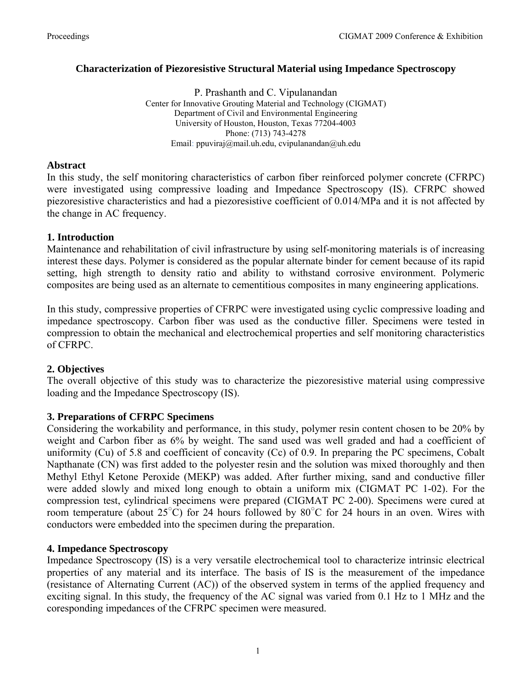## **Characterization of Piezoresistive Structural Material using Impedance Spectroscopy**

P. Prashanth and C. Vipulanandan Center for Innovative Grouting Material and Technology (CIGMAT) Department of Civil and Environmental Engineering University of Houston, Houston, Texas 77204-4003 Phone: (713) 743-4278 Email: ppuviraj@mail.uh.edu, cvipulanandan@uh.edu

#### **Abstract**

In this study, the self monitoring characteristics of carbon fiber reinforced polymer concrete (CFRPC) were investigated using compressive loading and Impedance Spectroscopy (IS). CFRPC showed piezoresistive characteristics and had a piezoresistive coefficient of 0.014/MPa and it is not affected by the change in AC frequency.

#### **1. Introduction**

Maintenance and rehabilitation of civil infrastructure by using self-monitoring materials is of increasing interest these days. Polymer is considered as the popular alternate binder for cement because of its rapid setting, high strength to density ratio and ability to withstand corrosive environment. Polymeric composites are being used as an alternate to cementitious composites in many engineering applications.

In this study, compressive properties of CFRPC were investigated using cyclic compressive loading and impedance spectroscopy. Carbon fiber was used as the conductive filler. Specimens were tested in compression to obtain the mechanical and electrochemical properties and self monitoring characteristics of CFRPC.

#### **2. Objectives**

The overall objective of this study was to characterize the piezoresistive material using compressive loading and the Impedance Spectroscopy (IS).

#### **3. Preparations of CFRPC Specimens**

Considering the workability and performance, in this study, polymer resin content chosen to be 20% by weight and Carbon fiber as 6% by weight. The sand used was well graded and had a coefficient of uniformity (Cu) of 5.8 and coefficient of concavity (Cc) of 0.9. In preparing the PC specimens, Cobalt Napthanate (CN) was first added to the polyester resin and the solution was mixed thoroughly and then Methyl Ethyl Ketone Peroxide (MEKP) was added. After further mixing, sand and conductive filler were added slowly and mixed long enough to obtain a uniform mix (CIGMAT PC 1-02). For the compression test, cylindrical specimens were prepared (CIGMAT PC 2-00). Specimens were cured at room temperature (about  $25^{\circ}$ C) for 24 hours followed by 80 $^{\circ}$ C for 24 hours in an oven. Wires with conductors were embedded into the specimen during the preparation.

#### **4. Impedance Spectroscopy**

Impedance Spectroscopy (IS) is a very versatile electrochemical tool to characterize intrinsic electrical properties of any material and its interface. The basis of IS is the measurement of the impedance (resistance of Alternating Current (AC)) of the observed system in terms of the applied frequency and exciting signal. In this study, the frequency of the AC signal was varied from 0.1 Hz to 1 MHz and the coresponding impedances of the CFRPC specimen were measured.